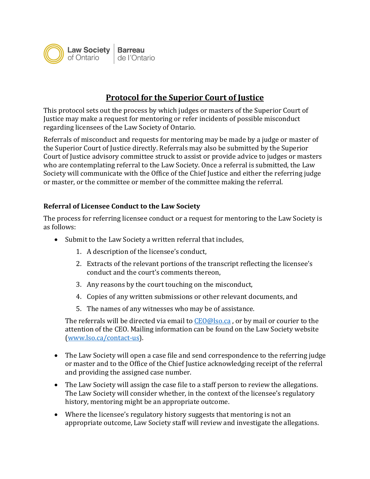

## **Protocol for the Superior Court of Justice**

This protocol sets out the process by which judges or masters of the Superior Court of Justice may make a request for mentoring or refer incidents of possible misconduct regarding licensees of the Law Society of Ontario.

Referrals of misconduct and requests for mentoring may be made by a judge or master of the Superior Court of Justice directly. Referrals may also be submitted by the Superior Court of Justice advisory committee struck to assist or provide advice to judges or masters who are contemplating referral to the Law Society. Once a referral is submitted, the Law Society will communicate with the Office of the Chief Justice and either the referring judge or master, or the committee or member of the committee making the referral.

## **Referral of Licensee Conduct to the Law Society**

The process for referring licensee conduct or a request for mentoring to the Law Society is as follows:

- Submit to the Law Society a written referral that includes,
	- 1. A description of the licensee's conduct,
	- 2. Extracts of the relevant portions of the transcript reflecting the licensee's conduct and the court's comments thereon,
	- 3. Any reasons by the court touching on the misconduct,
	- 4. Copies of any written submissions or other relevant documents, and
	- 5. The names of any witnesses who may be of assistance.

The referrals will be directed via email to  $CEO@soca$ , or by mail or courier to the attention of the CEO. Mailing information can be found on the Law Society website [\(www.lso.ca/contact-us\)](http://www.lso.ca/contact-us).

- The Law Society will open a case file and send correspondence to the referring judge or master and to the Office of the Chief Justice acknowledging receipt of the referral and providing the assigned case number.
- The Law Society will assign the case file to a staff person to review the allegations. The Law Society will consider whether, in the context of the licensee's regulatory history, mentoring might be an appropriate outcome.
- Where the licensee's regulatory history suggests that mentoring is not an appropriate outcome, Law Society staff will review and investigate the allegations.